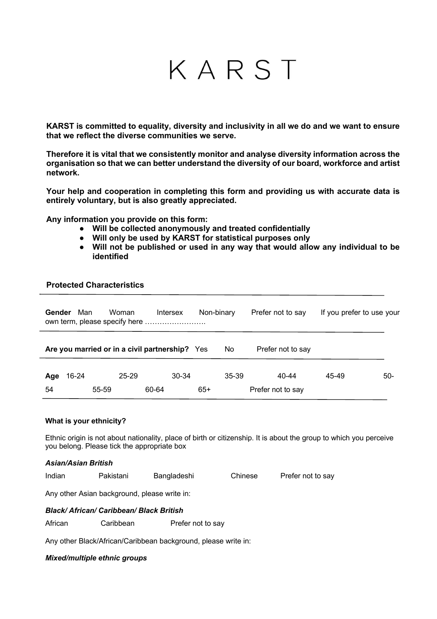# KARST

**KARST is committed to equality, diversity and inclusivity in all we do and we want to ensure that we reflect the diverse communities we serve.**

**Therefore it is vital that we consistently monitor and analyse diversity information across the organisation so that we can better understand the diversity of our board, workforce and artist network.** 

**Your help and cooperation in completing this form and providing us with accurate data is entirely voluntary, but is also greatly appreciated.** 

**Any information you provide on this form:**

- **Will be collected anonymously and treated confidentially**
- **Will only be used by KARST for statistical purposes only**
- **Will not be published or used in any way that would allow any individual to be identified**

# **Protected Characteristics**

| <b>Gender</b> | Man   |       | Woman     | Intersex                                       |       | Non-binary | Prefer not to say          | If you prefer to use your |       |
|---------------|-------|-------|-----------|------------------------------------------------|-------|------------|----------------------------|---------------------------|-------|
|               |       |       |           | Are you married or in a civil partnership? Yes |       | No         | Prefer not to say          |                           |       |
| Age<br>54     | 16-24 | 55-59 | $25 - 29$ | $30-34$<br>60-64                               | $65+$ | $35 - 39$  | 40-44<br>Prefer not to say | 45-49                     | $50-$ |

#### **What is your ethnicity?**

Ethnic origin is not about nationality, place of birth or citizenship. It is about the group to which you perceive you belong. Please tick the appropriate box

*Asian/Asian British* Indian Pakistani Bangladeshi Chinese Prefer not to say

Any other Asian background, please write in:

# *Black/ African/ Caribbean/ Black British*

African Caribbean Prefer not to say

Any other Black/African/Caribbean background, please write in:

#### *Mixed/multiple ethnic groups*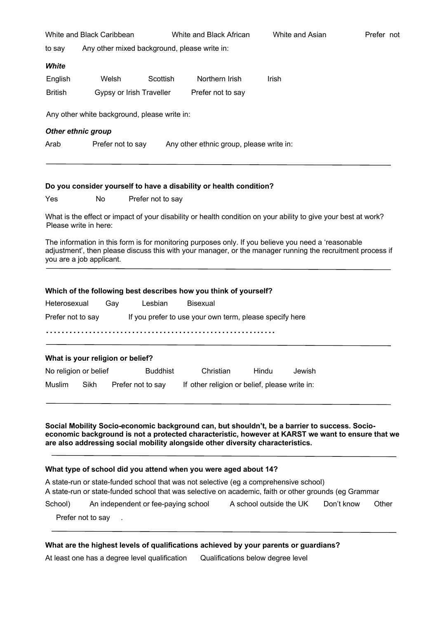| White and Black Caribbean                                             |                                              |          | White and Black African | White and Asian | Prefer not |  |
|-----------------------------------------------------------------------|----------------------------------------------|----------|-------------------------|-----------------|------------|--|
| to say                                                                | Any other mixed background, please write in: |          |                         |                 |            |  |
| White                                                                 |                                              |          |                         |                 |            |  |
| English                                                               | Welsh                                        | Scottish | Northern Irish          | Irish           |            |  |
| <b>British</b>                                                        | Gypsy or Irish Traveller                     |          | Prefer not to say       |                 |            |  |
| Other ethnic group                                                    | Any other white background, please write in: |          |                         |                 |            |  |
| Prefer not to say<br>Any other ethnic group, please write in:<br>Arab |                                              |          |                         |                 |            |  |
|                                                                       |                                              |          |                         |                 |            |  |

#### **Do you consider yourself to have a disability or health condition?**

Yes No Prefer not to say

What is the effect or impact of your disability or health condition on your ability to give your best at work? Please write in here:

The information in this form is for monitoring purposes only. If you believe you need a 'reasonable adjustment', then please discuss this with your manager, or the manager running the recruitment process if you are a job applicant.

#### **Which of the following best describes how you think of yourself?**

| Heterosexual      | Gav | Lesbian | Bisexual                                                |
|-------------------|-----|---------|---------------------------------------------------------|
| Prefer not to say |     |         | If you prefer to use your own term, please specify here |
|                   |     |         |                                                         |
|                   |     |         |                                                         |

# **What is your religion or belief?**

| No religion or belief |      | <b>Buddhist</b>   | Christian                                     | Hindu | Jewish |
|-----------------------|------|-------------------|-----------------------------------------------|-------|--------|
| Muslim                | Sikh | Prefer not to say | If other religion or belief, please write in: |       |        |

# **Social Mobility Socio-economic background can, but shouldn't, be a barrier to success. Socioeconomic background is not a protected characteristic, however at KARST we want to ensure that we are also addressing social mobility alongside other diversity characteristics.**

### **What type of school did you attend when you were aged about 14?**

| A state-run or state-funded school that was not selective (eg a comprehensive school)                 |                                     |                         |            |       |  |  |  |
|-------------------------------------------------------------------------------------------------------|-------------------------------------|-------------------------|------------|-------|--|--|--|
| A state-run or state-funded school that was selective on academic, faith or other grounds (eg Grammar |                                     |                         |            |       |  |  |  |
| School)                                                                                               | An independent or fee-paying school | A school outside the UK | Don't know | Other |  |  |  |

Prefer not to say

#### **What are the highest levels of qualifications achieved by your parents or guardians?**

At least one has a degree level qualification Qualifications below degree level